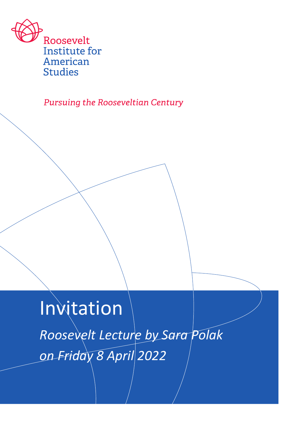

**Pursuing the Rooseveltian Century** 

**Invitation** *Roosevelt Lecture by Sara Polak on Friday 8 April 2022*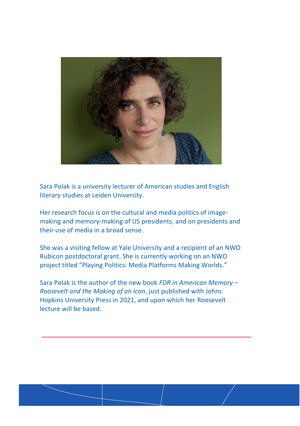

Sara Polak is a university lecturer of American studies and English literary studies at Leiden University.

Her research focus is on the cultural and media politics of imagemaking and memory-making of US presidents, and on presidents and their use of media in a broad sense.

She was a visiting fellow at Yale University and a recipient of an NWO Rubicon postdoctoral grant. She is currently working on an NWO project titled "Playing Politics: Media Platforms Making Worlds."

Sara Polak is the author of the new book *FDR in American Memory – Roosevelt and the Making of an Icon*, just published with Johns Hopkins University Press in 2021, and upon which her Roosevelt lecture will be based.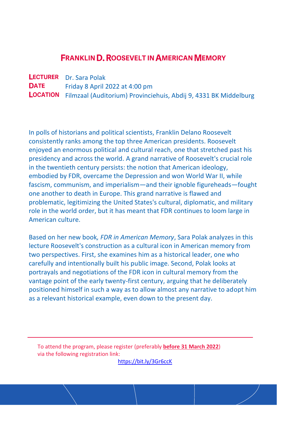## **FRANKLIN D. ROOSEVELT IN AMERICAN MEMORY**

**LECTURER** Dr. Sara Polak **DATE** Friday 8 April 2022 at 4:00 pm LOCATION Filmzaal (Auditorium) Provinciehuis, Abdij 9, 4331 BK Middelburg

In polls of historians and political scientists, Franklin Delano Roosevelt consistently ranks among the top three American presidents. Roosevelt enjoyed an enormous political and cultural reach, one that stretched past his presidency and across the world. A grand narrative of Roosevelt's crucial role in the twentieth century persists: the notion that American ideology, embodied by FDR, overcame the Depression and won World War II, while fascism, communism, and imperialism—and their ignoble figureheads—fought one another to death in Europe. This grand narrative is flawed and problematic, legitimizing the United States's cultural, diplomatic, and military role in the world order, but it has meant that FDR continues to loom large in American culture.

Based on her new book*, FDR in American Memory*, Sara Polak analyzes in this lecture Roosevelt's construction as a cultural icon in American memory from two perspectives. First, she examines him as a historical leader, one who carefully and intentionally built his public image. Second, Polak looks at portrayals and negotiations of the FDR icon in cultural memory from the vantage point of the early twenty-first century, arguing that he deliberately positioned himself in such a way as to allow almost any narrative to adopt him as a relevant historical example, even down to the present day.

To attend the program, please register (preferably **before 31 March 2022**) via the following registration link:

<https://bit.ly/3Gr6ccK>